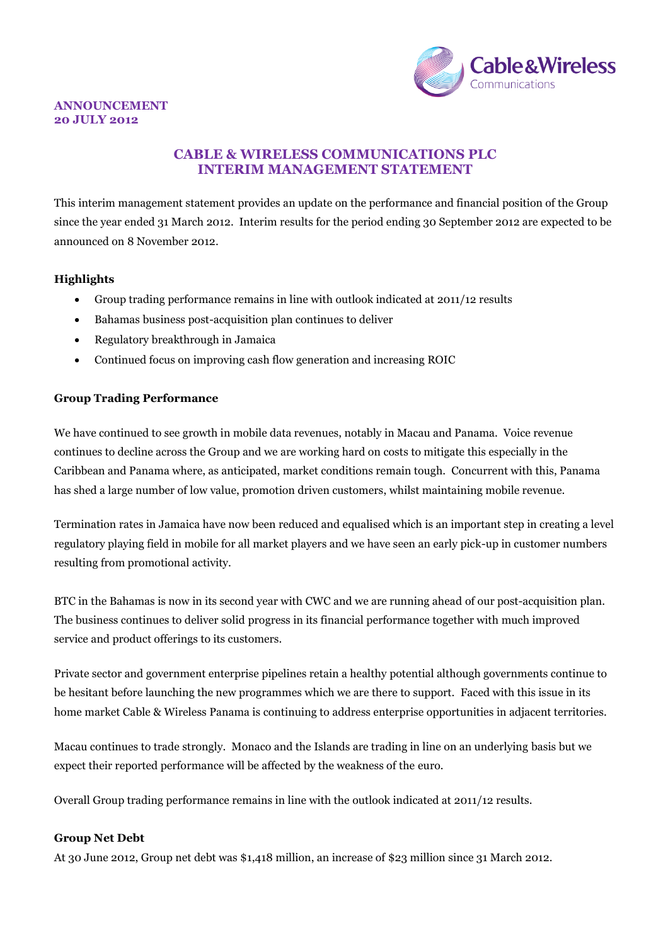

#### **ANNOUNCEMENT 20 JULY 2012**

## **CABLE & WIRELESS COMMUNICATIONS PLC INTERIM MANAGEMENT STATEMENT**

This interim management statement provides an update on the performance and financial position of the Group since the year ended 31 March 2012. Interim results for the period ending 30 September 2012 are expected to be announced on 8 November 2012.

## **Highlights**

- Group trading performance remains in line with outlook indicated at 2011/12 results
- Bahamas business post-acquisition plan continues to deliver
- Regulatory breakthrough in Jamaica
- Continued focus on improving cash flow generation and increasing ROIC

### **Group Trading Performance**

We have continued to see growth in mobile data revenues, notably in Macau and Panama. Voice revenue continues to decline across the Group and we are working hard on costs to mitigate this especially in the Caribbean and Panama where, as anticipated, market conditions remain tough. Concurrent with this, Panama has shed a large number of low value, promotion driven customers, whilst maintaining mobile revenue.

Termination rates in Jamaica have now been reduced and equalised which is an important step in creating a level regulatory playing field in mobile for all market players and we have seen an early pick-up in customer numbers resulting from promotional activity.

BTC in the Bahamas is now in its second year with CWC and we are running ahead of our post-acquisition plan. The business continues to deliver solid progress in its financial performance together with much improved service and product offerings to its customers.

Private sector and government enterprise pipelines retain a healthy potential although governments continue to be hesitant before launching the new programmes which we are there to support. Faced with this issue in its home market Cable & Wireless Panama is continuing to address enterprise opportunities in adjacent territories.

Macau continues to trade strongly. Monaco and the Islands are trading in line on an underlying basis but we expect their reported performance will be affected by the weakness of the euro.

Overall Group trading performance remains in line with the outlook indicated at 2011/12 results.

#### **Group Net Debt**

At 30 June 2012, Group net debt was \$1,418 million, an increase of \$23 million since 31 March 2012.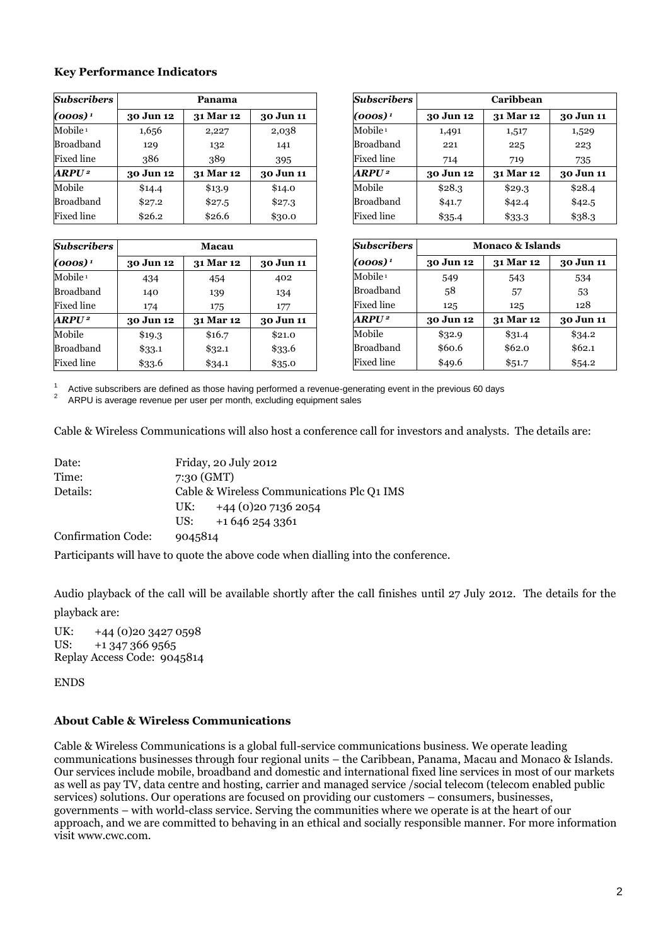#### **Key Performance Indicators**

| <b>Subscribers</b>      | Panama    |           |           |
|-------------------------|-----------|-----------|-----------|
| $(000s)^1$              | 30 Jun 12 | 31 Mar 12 | 30 Jun 11 |
| Mobile <sup>1</sup>     | 1,656     | 2,227     | 2,038     |
| Broadband               | 129       | 132       | 141       |
| Fixed line              | 386       | 389       | 395       |
| <b>ARPU<sup>2</sup></b> | 30 Jun 12 | 31 Mar 12 | 30 Jun 11 |
| Mobile                  | \$14.4    | \$13.9    | \$14.0    |
| Broadband               | \$27.2    | \$27.5    | \$27.3    |
| Fixed line              | \$26.2    | \$26.6    | \$30.0    |

| <b>Subscribers</b>  | Macau     |           |           |
|---------------------|-----------|-----------|-----------|
| $(000s)^1$          | 30 Jun 12 | 31 Mar 12 | 30 Jun 11 |
| Mobile <sup>1</sup> | 434       | 454       | 402       |
| Broadband           | 140       | 139       | 134       |
| Fixed line          | 174       | 175       | 177       |
| $ARPU^2$            | 30 Jun 12 | 31 Mar 12 | 30 Jun 11 |
| Mobile              | \$19.3    | \$16.7    | \$21.0    |
| Broadband           | \$33.1    | \$32.1    | \$33.6    |
| Fixed line          | \$33.6    | \$34.1    | \$35.0    |

| Subscribers         | Caribbean |           |           |
|---------------------|-----------|-----------|-----------|
| $(000s)^{1}$        | 30 Jun 12 | 31 Mar 12 | 30 Jun 11 |
| Mobile <sup>1</sup> | 1,491     | 1,517     | 1,529     |
| Broadband           | 221       | 225       | 223       |
| Fixed line          | 714       | 719       | 735       |
| ARPU2               | 30 Jun 12 | 31 Mar 12 | 30 Jun 11 |
| Mobile              | \$28.3    | \$29.3    | \$28.4    |
| Broadband           | \$41.7    | \$42.4    | \$42.5    |
| Fixed line          | \$35.4    | \$33.3    | \$38.3    |

| <b>Subscribers</b>     | <b>Monaco &amp; Islands</b> |           |           |
|------------------------|-----------------------------|-----------|-----------|
| $(000s)^1$             | 30 Jun 12                   | 31 Mar 12 | 30 Jun 11 |
| $M$ obile <sup>1</sup> | 549                         | 543       | 534       |
| Broadband              | 58                          | 57        | 53        |
| Fixed line             | 125                         | 125       | 128       |
| $ARPU^2$               | 30 Jun 12                   | 31 Mar 12 | 30 Jun 11 |
| Mobile                 | \$32.9                      | \$31.4    | \$34.2    |
| Broadband              | \$60.6                      | \$62.0    | \$62.1    |
| Fixed line             | \$49.6                      | \$51.7    | \$54.2    |

1 Active subscribers are defined as those having performed a revenue-generating event in the previous 60 days

2 ARPU is average revenue per user per month, excluding equipment sales

Cable & Wireless Communications will also host a conference call for investors and analysts. The details are:

| Date:                     | Friday, 20 July 2012                       |
|---------------------------|--------------------------------------------|
| Time:                     | 7:30(GMT)                                  |
| Details:                  | Cable & Wireless Communications Plc Q1 IMS |
|                           | UK: $+44(0)2071362054$                     |
|                           | +1 646 254 3361<br>US:                     |
| <b>Confirmation Code:</b> | 9045814                                    |

Participants will have to quote the above code when dialling into the conference.

Audio playback of the call will be available shortly after the call finishes until 27 July 2012. The details for the

playback are:

UK:  $+44(0)2034270598$ <br>US:  $+13473669565$  $+1$  347 366 9565 Replay Access Code: 9045814

ENDS

## **About Cable & Wireless Communications**

Cable & Wireless Communications is a global full-service communications business. We operate leading communications businesses through four regional units – the Caribbean, Panama, Macau and Monaco & Islands. Our services include mobile, broadband and domestic and international fixed line services in most of our markets as well as pay TV, data centre and hosting, carrier and managed service /social telecom (telecom enabled public services) solutions. Our operations are focused on providing our customers – consumers, businesses, governments – with world-class service. Serving the communities where we operate is at the heart of our approach, and we are committed to behaving in an ethical and socially responsible manner. For more information visit [www.cwc.com.](http://www.cwc.com/)